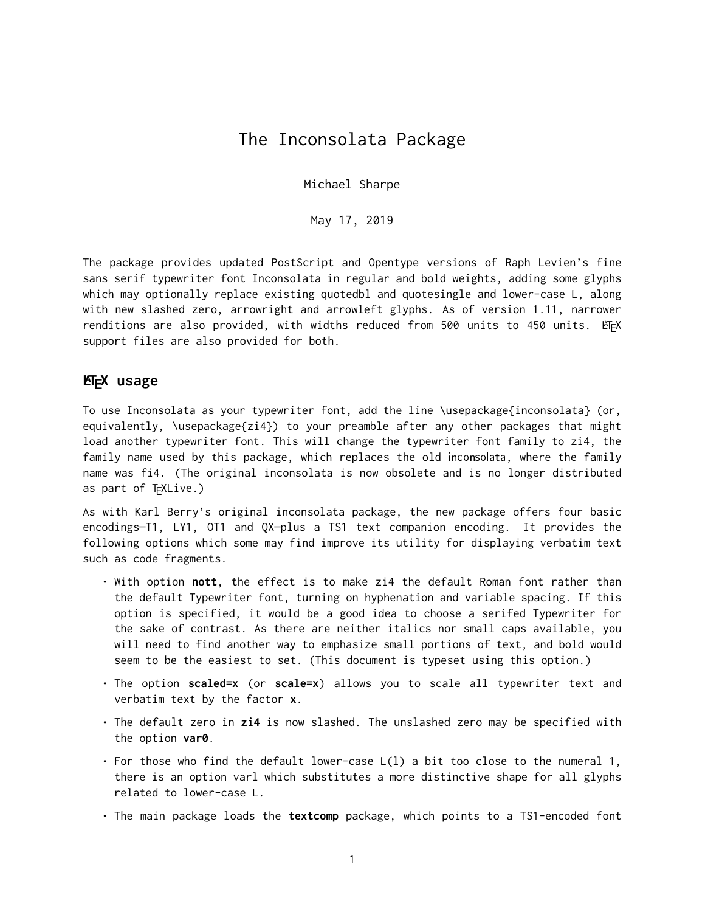## The Inconsolata Package

Michael Sharpe

May 17, 2019

The package provides updated PostScript and Opentype versions of Raph Levien's fine sans serif typewriter font Inconsolata in regular and bold weights, adding some glyphs which may optionally replace existing quotedbl and quotesingle and lower-case L, along with new slashed zero, arrowright and arrowleft glyphs. As of version 1.11, narrower renditions are also provided, with widths reduced from 500 units to 450 units.  $\mathbb{E} \mathbb{F} \mathsf{X}$ support files are also provided for both.

## **LATEX usage**

To use Inconsolata as your typewriter font, add the line \usepackage{inconsolata} (or, equivalently, \usepackage{zi4}) to your preamble after any other packages that might load another typewriter font. This will change the typewriter font family to zi4, the family name used by this package, which replaces the old inconsolata, where the family name was fi4. (The original inconsolata is now obsolete and is no longer distributed as part of TEXLive.)

As with Karl Berry's original inconsolata package, the new package offers four basic encodings—T1, LY1, OT1 and QX—plus a TS1 text companion encoding. It provides the following options which some may find improve its utility for displaying verbatim text such as code fragments.

- With option **nott**, the effect is to make zi4 the default Roman font rather than the default Typewriter font, turning on hyphenation and variable spacing. If this option is specified, it would be a good idea to choose a serifed Typewriter for the sake of contrast. As there are neither italics nor small caps available, you will need to find another way to emphasize small portions of text, and bold would seem to be the easiest to set. (This document is typeset using this option.)
- The option **scaled=x** (or **scale=x**) allows you to scale all typewriter text and verbatim text by the factor **x**.
- The default zero in **zi4** is now slashed. The unslashed zero may be specified with the option **var0**.
- For those who find the default lower-case L(l) a bit too close to the numeral 1, there is an option varl which substitutes a more distinctive shape for all glyphs related to lower-case L.
- The main package loads the **textcomp** package, which points to a TS1-encoded font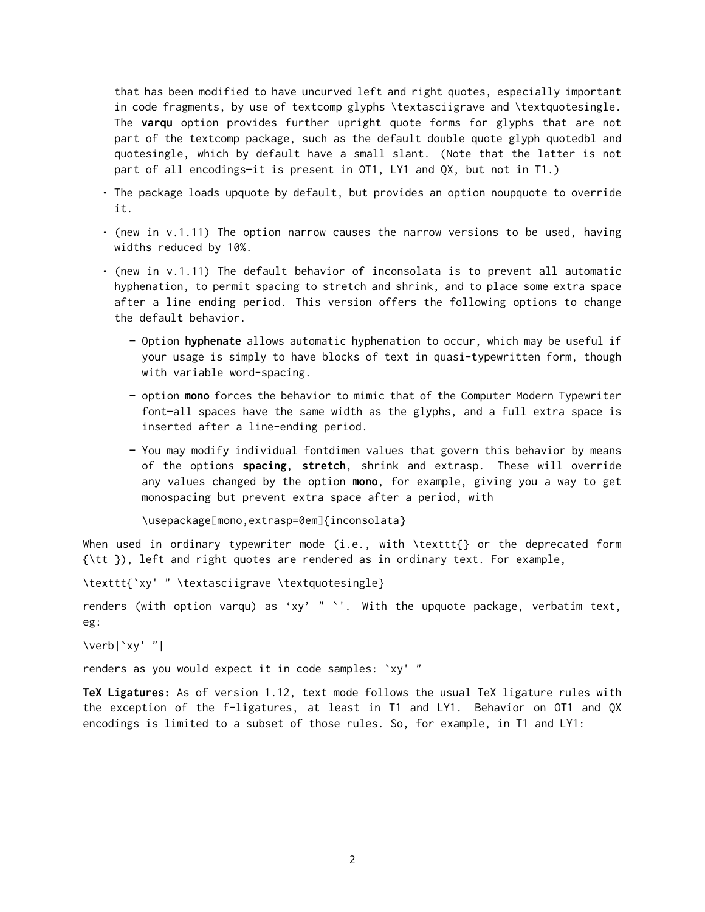that has been modified to have uncurved left and right quotes, especially important in code fragments, by use of textcomp glyphs \textasciigrave and \textquotesingle. The **varqu** option provides further upright quote forms for glyphs that are not part of the textcomp package, such as the default double quote glyph quotedbl and quotesingle, which by default have a small slant. (Note that the latter is not part of all encodings—it is present in OT1, LY1 and QX, but not in T1.)

- The package loads upquote by default, but provides an option noupquote to override it.
- (new in v.1.11) The option narrow causes the narrow versions to be used, having widths reduced by 10%.
- (new in v.1.11) The default behavior of inconsolata is to prevent all automatic hyphenation, to permit spacing to stretch and shrink, and to place some extra space after a line ending period. This version offers the following options to change the default behavior.
	- **–** Option **hyphenate** allows automatic hyphenation to occur, which may be useful if your usage is simply to have blocks of text in quasi-typewritten form, though with variable word-spacing.
	- **–** option **mono** forces the behavior to mimic that of the Computer Modern Typewriter font—all spaces have the same width as the glyphs, and a full extra space is inserted after a line-ending period.
	- **–** You may modify individual fontdimen values that govern this behavior by means of the options **spacing**, **stretch**, shrink and extrasp. These will override any values changed by the option **mono**, for example, giving you a way to get monospacing but prevent extra space after a period, with

\usepackage[mono,extrasp=0em]{inconsolata}

When used in ordinary typewriter mode (i.e., with \texttt{} or the deprecated form {\tt }), left and right quotes are rendered as in ordinary text. For example,

\texttt{`xy' " \textasciigrave \textquotesingle}

renders (with option varqu) as 'xy' " `'. With the upquote package, verbatim text, eg:

\verb|`xy' "|

renders as you would expect it in code samples: `xy' "

**TeX Ligatures:** As of version 1.12, text mode follows the usual TeX ligature rules with the exception of the f-ligatures, at least in T1 and LY1. Behavior on OT1 and QX encodings is limited to a subset of those rules. So, for example, in T1 and LY1: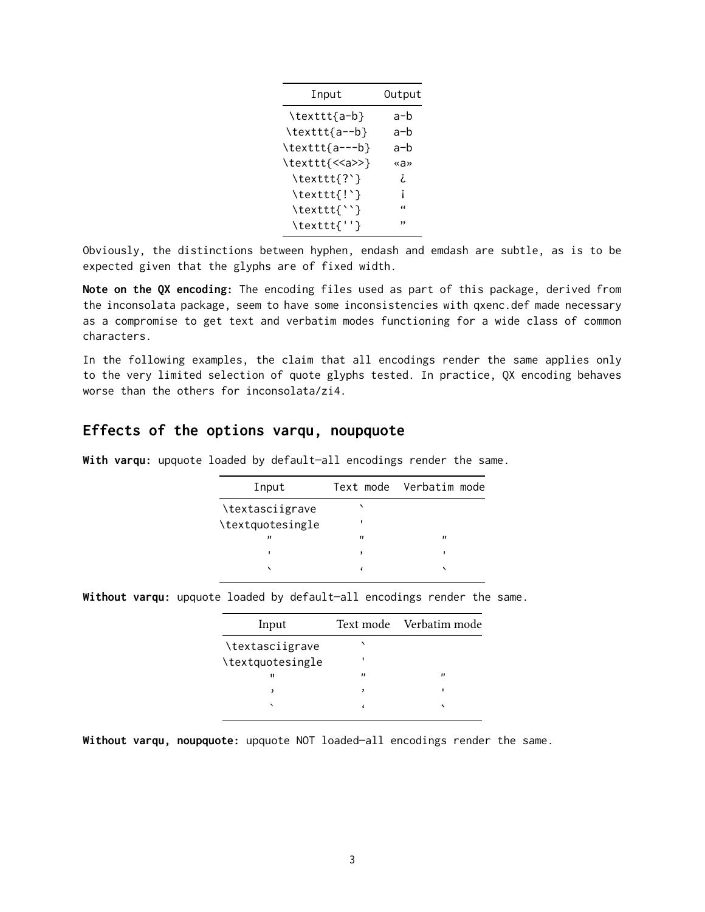| Output     |
|------------|
| a-b        |
| a-b        |
| a-b        |
| «a»        |
| i.         |
| Ť          |
| $\epsilon$ |
| ,,         |
|            |

Obviously, the distinctions between hyphen, endash and emdash are subtle, as is to be expected given that the glyphs are of fixed width.

**Note on the QX encoding:** The encoding files used as part of this package, derived from the inconsolata package, seem to have some inconsistencies with qxenc.def made necessary as a compromise to get text and verbatim modes functioning for a wide class of common characters.

In the following examples, the claim that all encodings render the same applies only to the very limited selection of quote glyphs tested. In practice, QX encoding behaves worse than the others for inconsolata/zi4.

## **Effects of the options varqu, noupquote**

**With varqu:** upquote loaded by default—all encodings render the same.

| Input            |   | Text mode Verbatim mode |
|------------------|---|-------------------------|
| \textasciigrave  |   |                         |
| \textquotesingle |   |                         |
| "                | " | $^{\prime \prime}$      |
|                  |   |                         |
|                  |   |                         |
|                  |   |                         |

**Without varqu:** upquote loaded by default—all encodings render the same.

| Input                    |                    | Text mode Verbatim mode |
|--------------------------|--------------------|-------------------------|
| \textasciigrave          |                    |                         |
| \textquotesingle         |                    |                         |
| $\mathbf{u}$             | $^{\prime \prime}$ | "                       |
|                          |                    |                         |
| $\overline{\phantom{0}}$ |                    |                         |
|                          |                    |                         |

**Without varqu, noupquote:** upquote NOT loaded—all encodings render the same.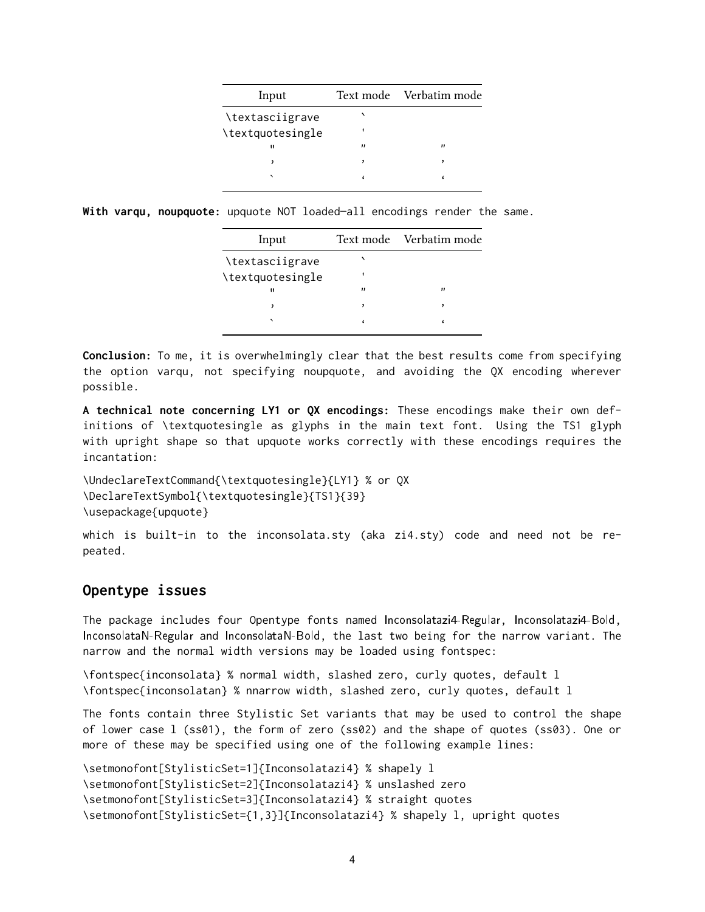| Input            |                   | Text mode Verbatim mode |
|------------------|-------------------|-------------------------|
| \textasciigrave  |                   |                         |
| \textquotesingle |                   |                         |
| $\blacksquare$   | $^{\prime\prime}$ | "                       |
|                  | ,                 |                         |
|                  |                   |                         |
|                  |                   |                         |

**With varqu, noupquote:** upquote NOT loaded—all encodings render the same.

| Input            |   | Text mode Verbatim mode |
|------------------|---|-------------------------|
| \textasciigrave  |   |                         |
| \textquotesingle |   |                         |
| 11               | " | "                       |
|                  |   |                         |
|                  |   |                         |
|                  |   |                         |

**Conclusion:** To me, it is overwhelmingly clear that the best results come from specifying the option varqu, not specifying noupquote, and avoiding the QX encoding wherever possible.

**A technical note concerning LY1 or QX encodings:** These encodings make their own definitions of \textquotesingle as glyphs in the main text font. Using the TS1 glyph with upright shape so that upquote works correctly with these encodings requires the incantation:

\UndeclareTextCommand{\textquotesingle}{LY1} % or QX \DeclareTextSymbol{\textquotesingle}{TS1}{39} \usepackage{upquote}

which is built-in to the inconsolata.sty (aka zi4.sty) code and need not be repeated.

## **Opentype issues**

The package includes four Opentype fonts named Inconsolatazi4-Regular, Inconsolatazi4-Bold, InconsolataN-Regular and InconsolataN-Bold, the last two being for the narrow variant. The narrow and the normal width versions may be loaded using fontspec:

\fontspec{inconsolata} % normal width, slashed zero, curly quotes, default l \fontspec{inconsolatan} % nnarrow width, slashed zero, curly quotes, default l

The fonts contain three Stylistic Set variants that may be used to control the shape of lower case l (ss01), the form of zero (ss02) and the shape of quotes (ss03). One or more of these may be specified using one of the following example lines:

```
\setmonofont[StylisticSet=1]{Inconsolatazi4} % shapely l
\setmonofont[StylisticSet=2]{Inconsolatazi4} % unslashed zero
\setmonofont[StylisticSet=3]{Inconsolatazi4} % straight quotes
\setmonofont[StylisticSet={1,3}]{Inconsolatazi4} % shapely l, upright quotes
```